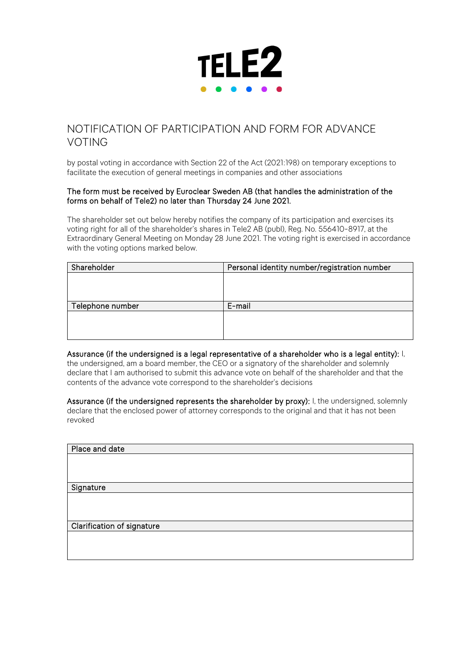

# NOTIFICATION OF PARTICIPATION AND FORM FOR ADVANCE VOTING

by postal voting in accordance with Section 22 of the Act (2021:198) on temporary exceptions to facilitate the execution of general meetings in companies and other associations

#### The form must be received by Euroclear Sweden AB (that handles the administration of the forms on behalf of Tele2) no later than Thursday 24 June 2021.

The shareholder set out below hereby notifies the company of its participation and exercises its voting right for all of the shareholder's shares in Tele2 AB (publ), Reg. No. 556410-8917, at the Extraordinary General Meeting on Monday 28 June 2021. The voting right is exercised in accordance with the voting options marked below.

| Shareholder      | Personal identity number/registration number |
|------------------|----------------------------------------------|
|                  |                                              |
|                  |                                              |
|                  |                                              |
| Telephone number | E-mail                                       |
|                  |                                              |
|                  |                                              |
|                  |                                              |

Assurance (if the undersigned is a legal representative of a shareholder who is a legal entity): I, the undersigned, am a board member, the CEO or a signatory of the shareholder and solemnly declare that I am authorised to submit this advance vote on behalf of the shareholder and that the contents of the advance vote correspond to the shareholder's decisions

Assurance (if the undersigned represents the shareholder by proxy): I, the undersigned, solemnly declare that the enclosed power of attorney corresponds to the original and that it has not been revoked

| Place and date             |  |
|----------------------------|--|
|                            |  |
|                            |  |
| Signature                  |  |
|                            |  |
|                            |  |
|                            |  |
| Clarification of signature |  |
|                            |  |
|                            |  |
|                            |  |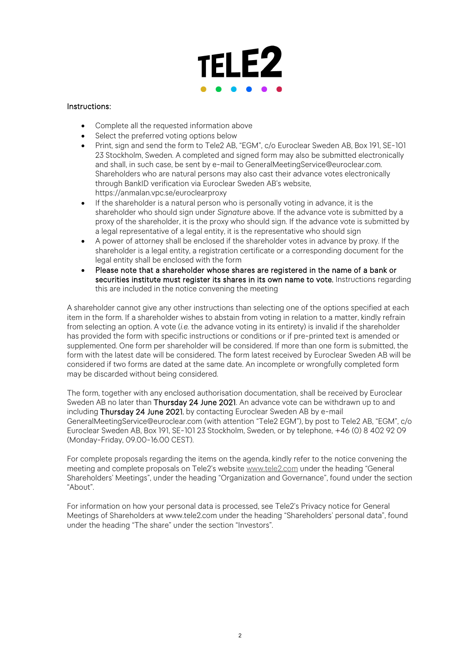

### Instructions:

- Complete all the requested information above
- Select the preferred voting options below
- Print, sign and send the form to Tele2 AB, "EGM", c/o Euroclear Sweden AB, Box 191, SE-101 23 Stockholm, Sweden. A completed and signed form may also be submitted electronically and shall, in such case, be sent by e-mail to GeneralMeetingService@euroclear.com. Shareholders who are natural persons may also cast their advance votes electronically through BankID verification via Euroclear Sweden AB's website, https://anmalan.vpc.se/euroclearproxy
- If the shareholder is a natural person who is personally voting in advance, it is the shareholder who should sign under *Signature* above. If the advance vote is submitted by a proxy of the shareholder, it is the proxy who should sign. If the advance vote is submitted by a legal representative of a legal entity, it is the representative who should sign
- A power of attorney shall be enclosed if the shareholder votes in advance by proxy. If the shareholder is a legal entity, a registration certificate or a corresponding document for the legal entity shall be enclosed with the form
- Please note that a shareholder whose shares are registered in the name of a bank or securities institute must register its shares in its own name to vote. Instructions regarding this are included in the notice convening the meeting

A shareholder cannot give any other instructions than selecting one of the options specified at each item in the form. If a shareholder wishes to abstain from voting in relation to a matter, kindly refrain from selecting an option. A vote (*i.e.* the advance voting in its entirety) is invalid if the shareholder has provided the form with specific instructions or conditions or if pre-printed text is amended or supplemented. One form per shareholder will be considered. If more than one form is submitted, the form with the latest date will be considered. The form latest received by Euroclear Sweden AB will be considered if two forms are dated at the same date. An incomplete or wrongfully completed form may be discarded without being considered.

The form, together with any enclosed authorisation documentation, shall be received by Euroclear Sweden AB no later than Thursday 24 June 2021. An advance vote can be withdrawn up to and including Thursday 24 June 2021, by contacting Euroclear Sweden AB by e-mail GeneralMeetingService@euroclear.com (with attention "Tele2 EGM"), by post to Tele2 AB, "EGM", c/o Euroclear Sweden AB, Box 191, SE-101 23 Stockholm, Sweden, or by telephone, +46 (0) 8 402 92 09 (Monday-Friday, 09.00-16.00 CEST).

For complete proposals regarding the items on the agenda, kindly refer to the notice convening the meeting and complete proposals on Tele2's website [www.tele2.com](http://www.tele2.com/) under the heading "General Shareholders' Meetings", under the heading "Organization and Governance", found under the section "About".

For information on how your personal data is processed, see Tele2's Privacy notice for General Meetings of Shareholders at www.tele2.com under the heading "Shareholders' personal data", found under the heading "The share" under the section "Investors".